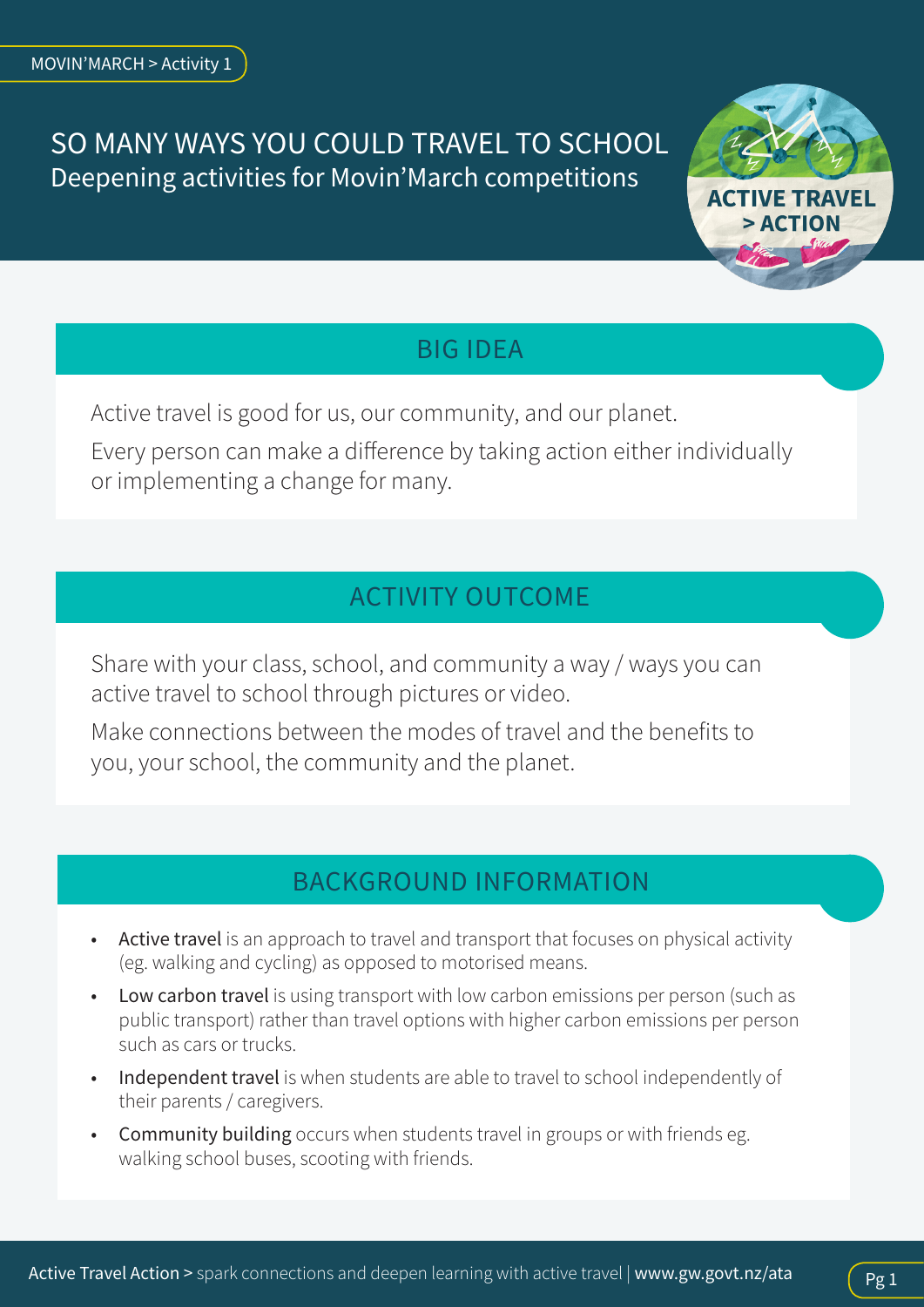## SO MANY WAYS YOU COULD TRAVEL TO SCHOOL Deepening activities for Movin'March competitions



### BIG IDEA

Active travel is good for us, our community, and our planet.

Every person can make a difference by taking action either individually or implementing a change for many.

# ACTIVITY OUTCOME

Share with your class, school, and community a way / ways you can active travel to school through pictures or video.

Make connections between the modes of travel and the benefits to you, your school, the community and the planet.

## BACKGROUND INFORMATION

- Active travel is an approach to travel and transport that focuses on physical activity (eg. walking and cycling) as opposed to motorised means.
- Low carbon travel is using transport with low carbon emissions per person (such as public transport) rather than travel options with higher carbon emissions per person such as cars or trucks.
- Independent travel is when students are able to travel to school independently of their parents / caregivers.
- Community building occurs when students travel in groups or with friends eg. walking school buses, scooting with friends.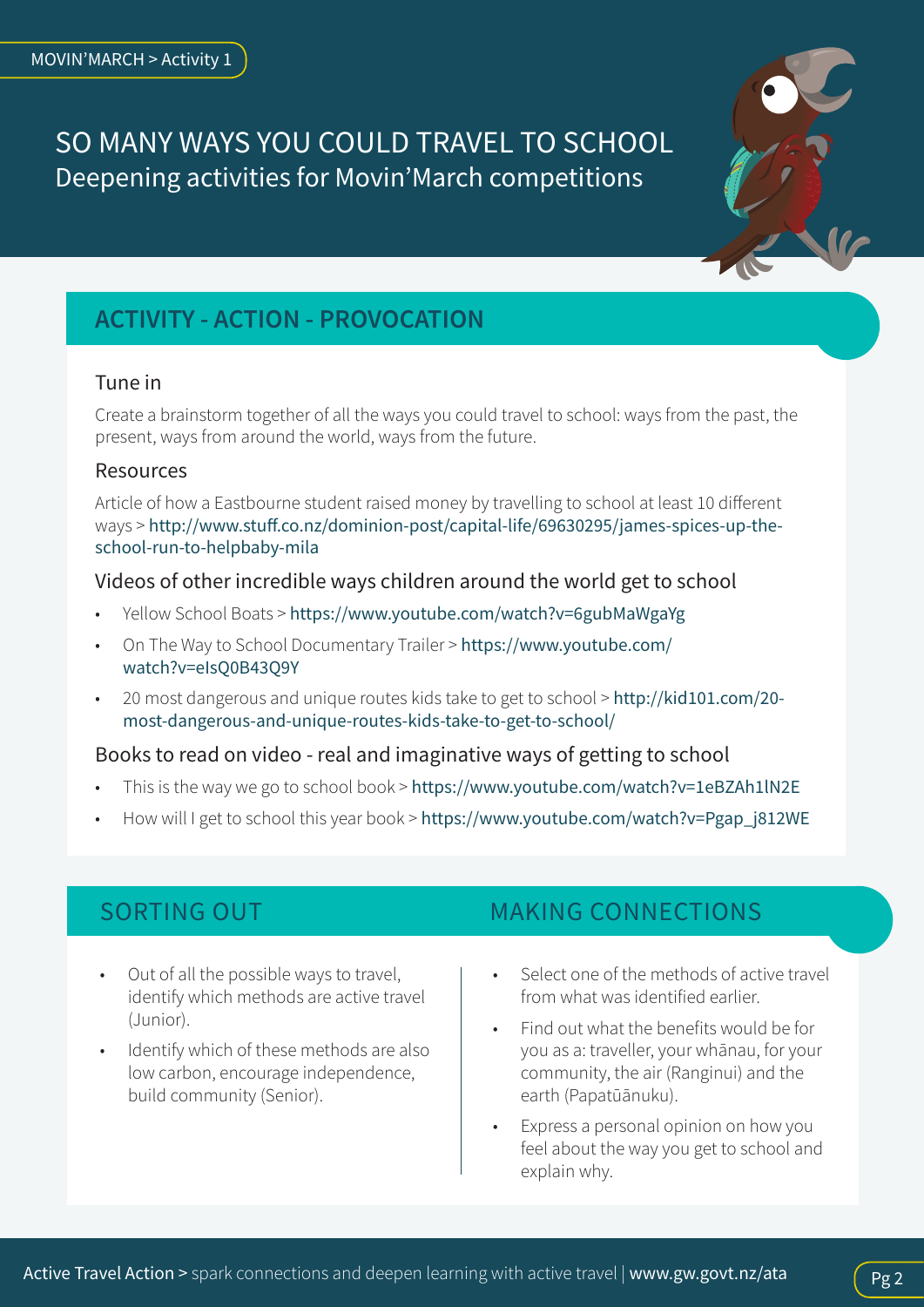## SO MANY WAYS YOU COULD TRAVEL TO SCHOOL Deepening activities for Movin'March competitions



### Tune in

Create a brainstorm together of all the ways you could travel to school: ways from the past, the present, ways from around the world, ways from the future.

### Resources

Article of how a Eastbourne student raised money by travelling to school at least 10 different ways > [http://www.stuff.co.nz/dominion-post/capital-life/69630295/james-spices-up-the](http://www.stuff.co.nz/dominion-post/capital-life/69630295/james-spices-up-the-school-run-to-helpbaby-mila)[school-run-to-helpbaby-mila](http://www.stuff.co.nz/dominion-post/capital-life/69630295/james-spices-up-the-school-run-to-helpbaby-mila)

#### Videos of other incredible ways children around the world get to school

- Yellow School Boats > <https://www.youtube.com/watch?v=6gubMaWgaYg>
- On The Way to School Documentary Trailer > [https://www.youtube.com/](https://www.youtube.com/watch?v=eIsQ0B43Q9Y) [watch?v=eIsQ0B43Q9Y](https://www.youtube.com/watch?v=eIsQ0B43Q9Y)
- 20 most dangerous and unique routes kids take to get to school > [http://kid101.com/20](http://kid101.com/20-most-dangerous-and-unique-routes-kids-take-to-get-to-school/) [most-dangerous-and-unique-routes-kids-take-to-get-to-school/](http://kid101.com/20-most-dangerous-and-unique-routes-kids-take-to-get-to-school/)

### Books to read on video - real and imaginative ways of getting to school

- This is the way we go to school book > <https://www.youtube.com/watch?v=1eBZAh1lN2E>
- How will I get to school this year book > [https://www.youtube.com/watch?v=Pgap\\_j812WE](https://www.youtube.com/watch?v=Pgap_j812WE)

- Out of all the possible ways to travel, identify which methods are active travel (Junior).
- Identify which of these methods are also low carbon, encourage independence, build community (Senior).

### SORTING OUT **MAKING CONNECTIONS**

- Select one of the methods of active travel from what was identified earlier.
- Find out what the benefits would be for you as a: traveller, your whānau, for your community, the air (Ranginui) and the earth (Papatūānuku).
- Express a personal opinion on how you feel about the way you get to school and explain why.